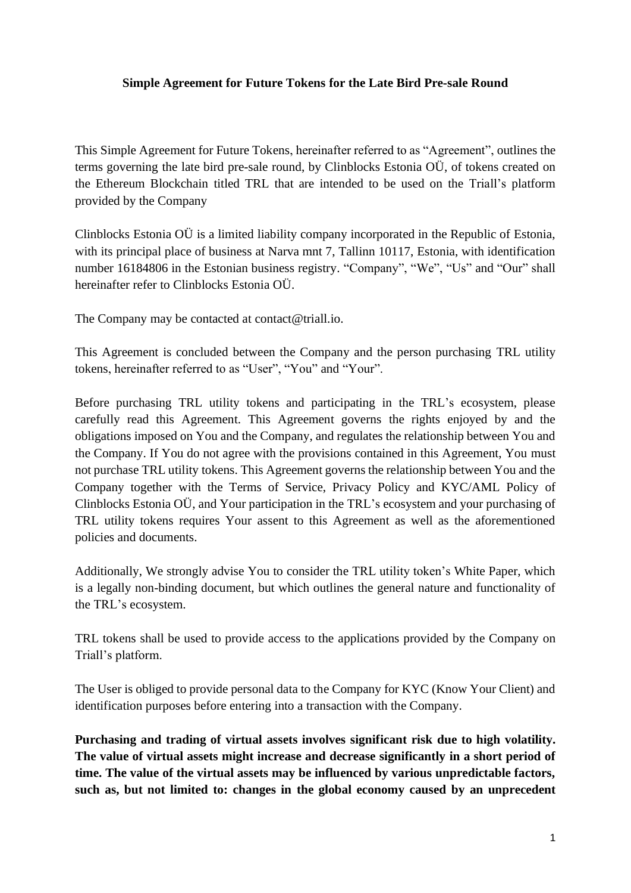#### **Simple Agreement for Future Tokens for the Late Bird Pre-sale Round**

This Simple Agreement for Future Tokens, hereinafter referred to as "Agreement", outlines the terms governing the late bird pre-sale round, by Clinblocks Estonia OÜ, of tokens created on the Ethereum Blockchain titled TRL that are intended to be used on the Triall's platform provided by the Company

Clinblocks Estonia OÜ is a limited liability company incorporated in the Republic of Estonia, with its principal place of business at Narva mnt 7, Tallinn 10117, Estonia, with identification number 16184806 in the Estonian business registry. "Company", "We", "Us" and "Our" shall hereinafter refer to Clinblocks Estonia OÜ.

The Company may be contacted at contact@triall.io.

This Agreement is concluded between the Company and the person purchasing TRL utility tokens, hereinafter referred to as "User", "You" and "Your".

Before purchasing TRL utility tokens and participating in the TRL's ecosystem, please carefully read this Agreement. This Agreement governs the rights enjoyed by and the obligations imposed on You and the Company, and regulates the relationship between You and the Company. If You do not agree with the provisions contained in this Agreement, You must not purchase TRL utility tokens. This Agreement governs the relationship between You and the Company together with the Terms of Service, Privacy Policy and KYC/AML Policy of Clinblocks Estonia OÜ, and Your participation in the TRL's ecosystem and your purchasing of TRL utility tokens requires Your assent to this Agreement as well as the aforementioned policies and documents.

Additionally, We strongly advise You to consider the TRL utility token's White Paper, which is a legally non-binding document, but which outlines the general nature and functionality of the TRL's ecosystem.

TRL tokens shall be used to provide access to the applications provided by the Company on Triall's platform.

The User is obliged to provide personal data to the Company for KYC (Know Your Client) and identification purposes before entering into a transaction with the Company.

**Purchasing and trading of virtual assets involves significant risk due to high volatility. The value of virtual assets might increase and decrease significantly in a short period of time. The value of the virtual assets may be influenced by various unpredictable factors, such as, but not limited to: changes in the global economy caused by an unprecedent**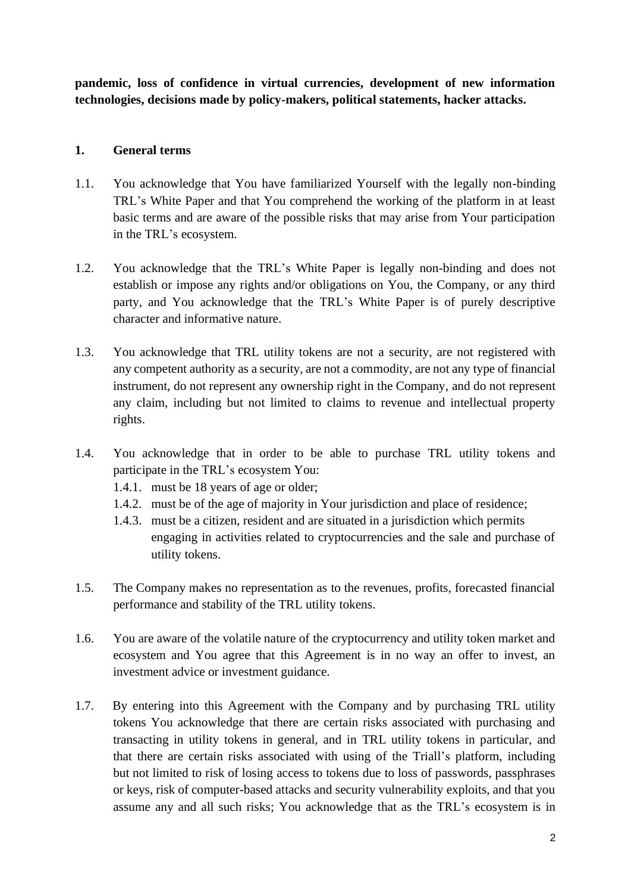**pandemic, loss of confidence in virtual currencies, development of new information technologies, decisions made by policy-makers, political statements, hacker attacks.** 

# **1. General terms**

- 1.1. You acknowledge that You have familiarized Yourself with the legally non-binding TRL's White Paper and that You comprehend the working of the platform in at least basic terms and are aware of the possible risks that may arise from Your participation in the TRL's ecosystem.
- 1.2. You acknowledge that the TRL's White Paper is legally non-binding and does not establish or impose any rights and/or obligations on You, the Company, or any third party, and You acknowledge that the TRL's White Paper is of purely descriptive character and informative nature.
- 1.3. You acknowledge that TRL utility tokens are not a security, are not registered with any competent authority as a security, are not a commodity, are not any type of financial instrument, do not represent any ownership right in the Company, and do not represent any claim, including but not limited to claims to revenue and intellectual property rights.
- 1.4. You acknowledge that in order to be able to purchase TRL utility tokens and participate in the TRL's ecosystem You:
	- 1.4.1. must be 18 years of age or older;
	- 1.4.2. must be of the age of majority in Your jurisdiction and place of residence;
	- 1.4.3. must be a citizen, resident and are situated in a jurisdiction which permits engaging in activities related to cryptocurrencies and the sale and purchase of utility tokens.
- 1.5. The Company makes no representation as to the revenues, profits, forecasted financial performance and stability of the TRL utility tokens.
- 1.6. You are aware of the volatile nature of the cryptocurrency and utility token market and ecosystem and You agree that this Agreement is in no way an offer to invest, an investment advice or investment guidance.
- 1.7. By entering into this Agreement with the Company and by purchasing TRL utility tokens You acknowledge that there are certain risks associated with purchasing and transacting in utility tokens in general, and in TRL utility tokens in particular, and that there are certain risks associated with using of the Triall's platform, including but not limited to risk of losing access to tokens due to loss of passwords, passphrases or keys, risk of computer-based attacks and security vulnerability exploits, and that you assume any and all such risks; You acknowledge that as the TRL's ecosystem is in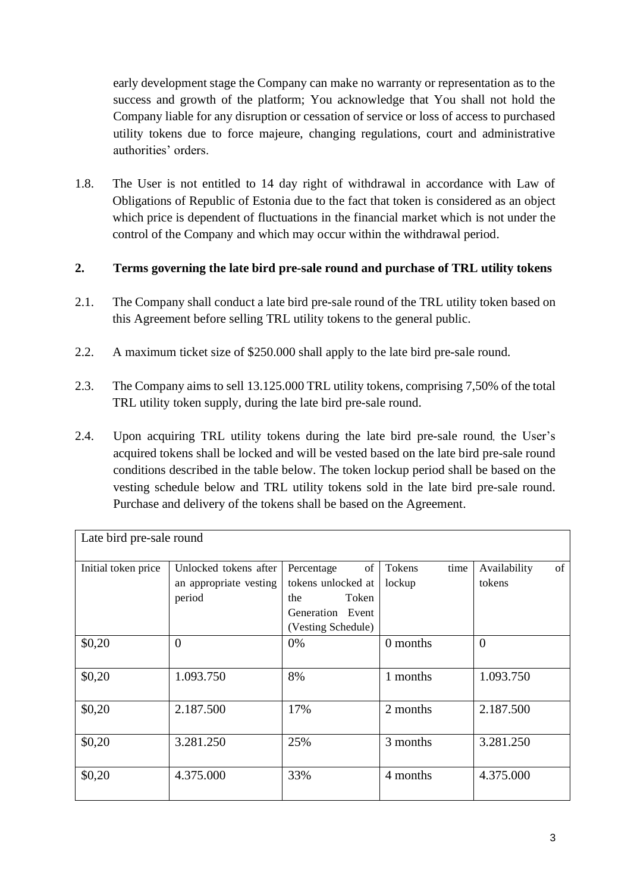early development stage the Company can make no warranty or representation as to the success and growth of the platform; You acknowledge that You shall not hold the Company liable for any disruption or cessation of service or loss of access to purchased utility tokens due to force majeure, changing regulations, court and administrative authorities' orders.

1.8. The User is not entitled to 14 day right of withdrawal in accordance with Law of Obligations of Republic of Estonia due to the fact that token is considered as an object which price is dependent of fluctuations in the financial market which is not under the control of the Company and which may occur within the withdrawal period.

## **2. Terms governing the late bird pre-sale round and purchase of TRL utility tokens**

- 2.1. The Company shall conduct a late bird pre-sale round of the TRL utility token based on this Agreement before selling TRL utility tokens to the general public.
- 2.2. A maximum ticket size of \$250.000 shall apply to the late bird pre-sale round.
- 2.3. The Company aims to sell 13.125.000 TRL utility tokens, comprising 7,50% of the total TRL utility token supply, during the late bird pre-sale round.
- 2.4. Upon acquiring TRL utility tokens during the late bird pre-sale round, the User's acquired tokens shall be locked and will be vested based on the late bird pre-sale round conditions described in the table below. The token lockup period shall be based on the vesting schedule below and TRL utility tokens sold in the late bird pre-sale round. Purchase and delivery of the tokens shall be based on the Agreement.

| Late bird pre-sale round |                                                           |                                                                                                  |                          |                              |  |  |
|--------------------------|-----------------------------------------------------------|--------------------------------------------------------------------------------------------------|--------------------------|------------------------------|--|--|
| Initial token price      | Unlocked tokens after<br>an appropriate vesting<br>period | Percentage<br>of<br>tokens unlocked at<br>Token<br>the<br>Generation Event<br>(Vesting Schedule) | time<br>Tokens<br>lockup | of<br>Availability<br>tokens |  |  |
| \$0,20                   | $\theta$                                                  | 0%                                                                                               | 0 months                 | $\overline{0}$               |  |  |
| \$0,20                   | 1.093.750                                                 | 8%                                                                                               | 1 months                 | 1.093.750                    |  |  |
| \$0,20                   | 2.187.500                                                 | 17%                                                                                              | 2 months                 | 2.187.500                    |  |  |
| \$0,20                   | 3.281.250                                                 | 25%                                                                                              | 3 months                 | 3.281.250                    |  |  |
| \$0,20                   | 4.375.000                                                 | 33%                                                                                              | 4 months                 | 4.375.000                    |  |  |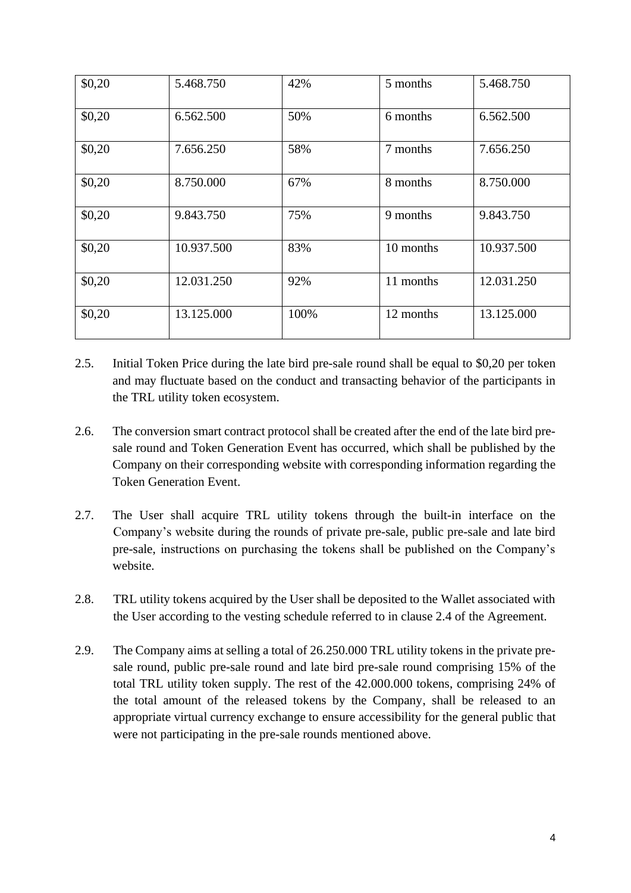| \$0,20 | 5.468.750  | 42%  | 5 months  | 5.468.750  |
|--------|------------|------|-----------|------------|
| \$0,20 | 6.562.500  | 50%  | 6 months  | 6.562.500  |
| \$0,20 | 7.656.250  | 58%  | 7 months  | 7.656.250  |
| \$0,20 | 8.750.000  | 67%  | 8 months  | 8.750.000  |
| \$0,20 | 9.843.750  | 75%  | 9 months  | 9.843.750  |
| \$0,20 | 10.937.500 | 83%  | 10 months | 10.937.500 |
| \$0,20 | 12.031.250 | 92%  | 11 months | 12.031.250 |
| \$0,20 | 13.125.000 | 100% | 12 months | 13.125.000 |

- 2.5. Initial Token Price during the late bird pre-sale round shall be equal to \$0,20 per token and may fluctuate based on the conduct and transacting behavior of the participants in the TRL utility token ecosystem.
- 2.6. The conversion smart contract protocol shall be created after the end of the late bird presale round and Token Generation Event has occurred, which shall be published by the Company on their corresponding website with corresponding information regarding the Token Generation Event.
- 2.7. The User shall acquire TRL utility tokens through the built-in interface on the Company's website during the rounds of private pre-sale, public pre-sale and late bird pre-sale, instructions on purchasing the tokens shall be published on the Company's website.
- 2.8. TRL utility tokens acquired by the User shall be deposited to the Wallet associated with the User according to the vesting schedule referred to in clause 2.4 of the Agreement.
- 2.9. The Company aims at selling a total of 26.250.000 TRL utility tokens in the private presale round, public pre-sale round and late bird pre-sale round comprising 15% of the total TRL utility token supply. The rest of the 42.000.000 tokens, comprising 24% of the total amount of the released tokens by the Company, shall be released to an appropriate virtual currency exchange to ensure accessibility for the general public that were not participating in the pre-sale rounds mentioned above.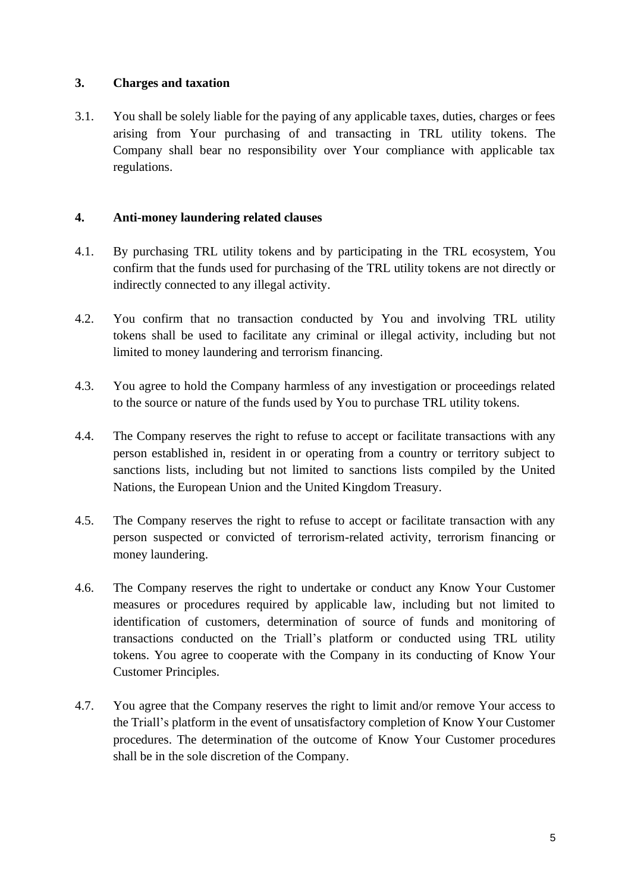## **3. Charges and taxation**

3.1. You shall be solely liable for the paying of any applicable taxes, duties, charges or fees arising from Your purchasing of and transacting in TRL utility tokens. The Company shall bear no responsibility over Your compliance with applicable tax regulations.

## **4. Anti-money laundering related clauses**

- 4.1. By purchasing TRL utility tokens and by participating in the TRL ecosystem, You confirm that the funds used for purchasing of the TRL utility tokens are not directly or indirectly connected to any illegal activity.
- 4.2. You confirm that no transaction conducted by You and involving TRL utility tokens shall be used to facilitate any criminal or illegal activity, including but not limited to money laundering and terrorism financing.
- 4.3. You agree to hold the Company harmless of any investigation or proceedings related to the source or nature of the funds used by You to purchase TRL utility tokens.
- 4.4. The Company reserves the right to refuse to accept or facilitate transactions with any person established in, resident in or operating from a country or territory subject to sanctions lists, including but not limited to sanctions lists compiled by the United Nations, the European Union and the United Kingdom Treasury.
- 4.5. The Company reserves the right to refuse to accept or facilitate transaction with any person suspected or convicted of terrorism-related activity, terrorism financing or money laundering.
- 4.6. The Company reserves the right to undertake or conduct any Know Your Customer measures or procedures required by applicable law, including but not limited to identification of customers, determination of source of funds and monitoring of transactions conducted on the Triall's platform or conducted using TRL utility tokens. You agree to cooperate with the Company in its conducting of Know Your Customer Principles.
- 4.7. You agree that the Company reserves the right to limit and/or remove Your access to the Triall's platform in the event of unsatisfactory completion of Know Your Customer procedures. The determination of the outcome of Know Your Customer procedures shall be in the sole discretion of the Company.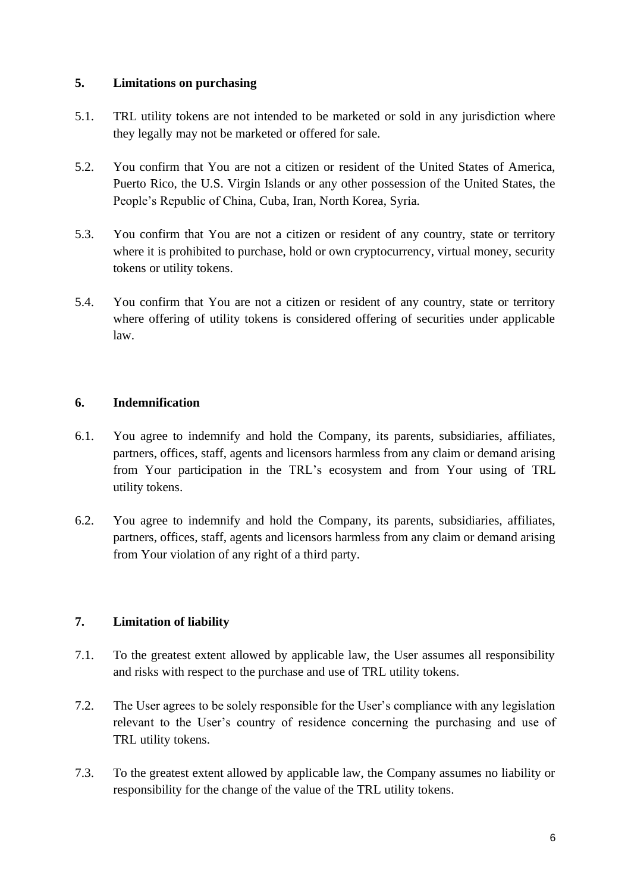### **5. Limitations on purchasing**

- 5.1. TRL utility tokens are not intended to be marketed or sold in any jurisdiction where they legally may not be marketed or offered for sale.
- 5.2. You confirm that You are not a citizen or resident of the United States of America, Puerto Rico, the U.S. Virgin Islands or any other possession of the United States, the People's Republic of China, Cuba, Iran, North Korea, Syria.
- 5.3. You confirm that You are not a citizen or resident of any country, state or territory where it is prohibited to purchase, hold or own cryptocurrency, virtual money, security tokens or utility tokens.
- 5.4. You confirm that You are not a citizen or resident of any country, state or territory where offering of utility tokens is considered offering of securities under applicable law.

## **6. Indemnification**

- 6.1. You agree to indemnify and hold the Company, its parents, subsidiaries, affiliates, partners, offices, staff, agents and licensors harmless from any claim or demand arising from Your participation in the TRL's ecosystem and from Your using of TRL utility tokens.
- 6.2. You agree to indemnify and hold the Company, its parents, subsidiaries, affiliates, partners, offices, staff, agents and licensors harmless from any claim or demand arising from Your violation of any right of a third party.

# **7. Limitation of liability**

- 7.1. To the greatest extent allowed by applicable law, the User assumes all responsibility and risks with respect to the purchase and use of TRL utility tokens.
- 7.2. The User agrees to be solely responsible for the User's compliance with any legislation relevant to the User's country of residence concerning the purchasing and use of TRL utility tokens.
- 7.3. To the greatest extent allowed by applicable law, the Company assumes no liability or responsibility for the change of the value of the TRL utility tokens.